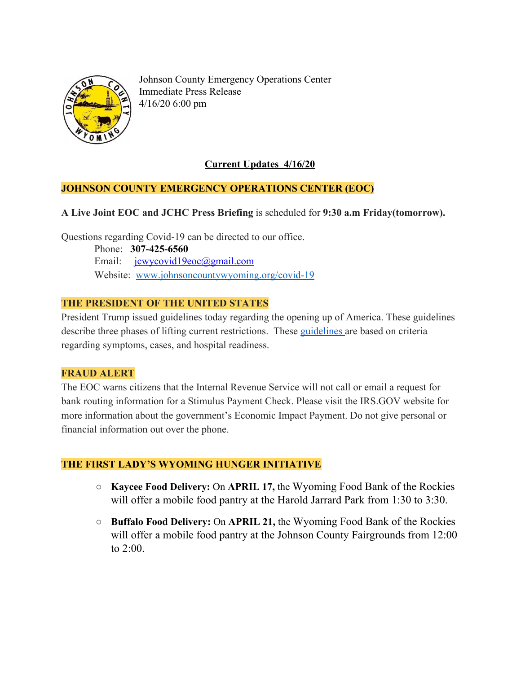

Johnson County Emergency Operations Center Immediate Press Release 4/16/20 6:00 pm

# **Current Updates 4/16/20**

## **JOHNSON COUNTY EMERGENCY OPERATIONS CENTER (EOC)**

## **A Live Joint EOC and JCHC Press Briefing** is scheduled for **9:30 a.m Friday(tomorrow).**

Questions regarding Covid-19 can be directed to our office.

 Phone: **307-425-6560** Email: [jcwycovid19eoc@gmail.com](mailto:jcwycovid19eoc@gmail.com) Website: [www.johnsoncountywyoming.org/covid-19](http://www.johnsoncountywyoming.org/covid-19)

## **THE PRESIDENT OF THE UNITED STATES**

President Trump issued guidelines today regarding the opening up of America. These guidelines describe three phases of lifting current restrictions. These [guidelines a](https://assets.documentcloud.org/documents/6840739/Guidelines-PDF.pdf)re based on criteria regarding symptoms, cases, and hospital readiness.

## **FRAUD ALERT**

The EOC warns citizens that the Internal Revenue Service will not call or email a request for bank routing information for a Stimulus Payment Check. Please visit the IRS.GOV website for more information about the government's Economic Impact Payment. Do not give personal or financial information out over the phone.

## **THE FIRST LADY'S WYOMING HUNGER INITIATIVE**

- **○ Kaycee Food Delivery:** On **APRIL 17,** the [Wyoming](http://wyomingfoodbank.org/) Food Bank of the Rockies will offer a mobile food pantry at the Harold Jarrard Park from 1:30 to 3:30.
- **○ Buffalo Food Delivery:** On **APRIL 21,** the [Wyoming](http://wyomingfoodbank.org/) Food Bank of the Rockies will offer a mobile food pantry at the Johnson County Fairgrounds from 12:00 to 2:00.